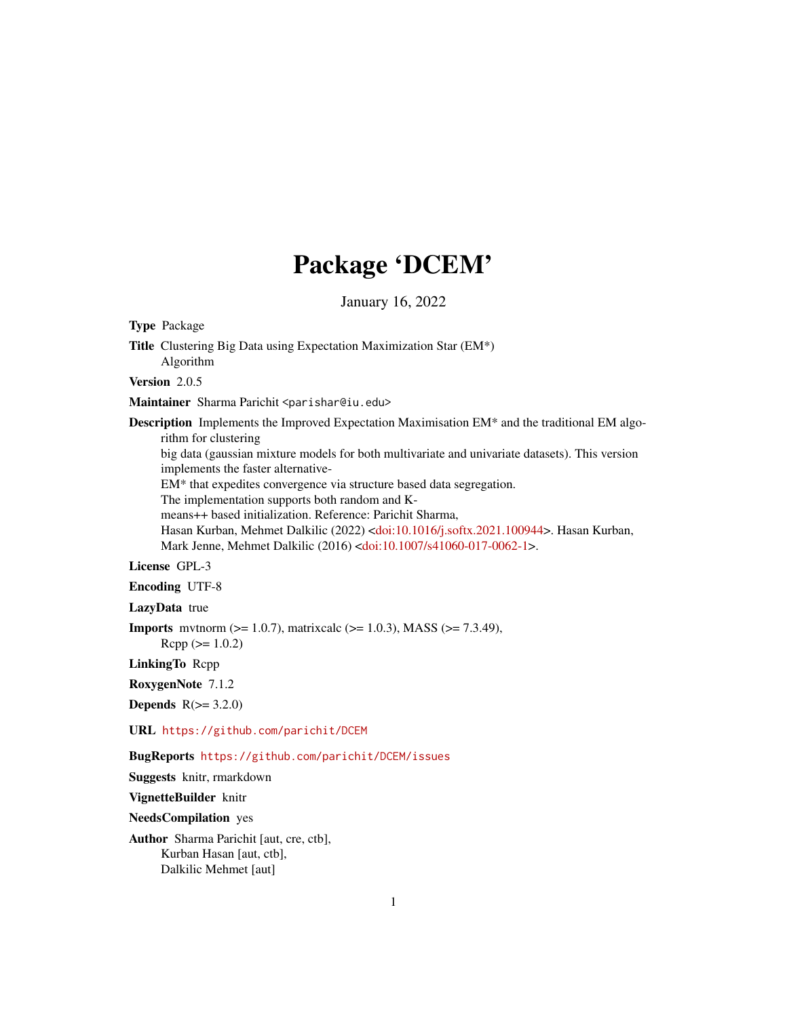# Package 'DCEM'

January 16, 2022

Type Package Title Clustering Big Data using Expectation Maximization Star (EM\*) Algorithm Version 2.0.5 Maintainer Sharma Parichit <parishar@iu.edu> Description Implements the Improved Expectation Maximisation EM\* and the traditional EM algorithm for clustering big data (gaussian mixture models for both multivariate and univariate datasets). This version implements the faster alternative-EM\* that expedites convergence via structure based data segregation. The implementation supports both random and Kmeans++ based initialization. Reference: Parichit Sharma, Hasan Kurban, Mehmet Dalkilic (2022) [<doi:10.1016/j.softx.2021.100944>](https://doi.org/10.1016/j.softx.2021.100944). Hasan Kurban, Mark Jenne, Mehmet Dalkilic (2016) [<doi:10.1007/s41060-017-0062-1>](https://doi.org/10.1007/s41060-017-0062-1). License GPL-3 Encoding UTF-8 LazyData true **Imports** mythorm ( $>= 1.0.7$ ), matrixcalc ( $>= 1.0.3$ ), MASS ( $>= 7.3.49$ ),  $Rcpp (> = 1.0.2)$ LinkingTo Rcpp RoxygenNote 7.1.2 Depends  $R(>= 3.2.0)$ URL <https://github.com/parichit/DCEM> BugReports <https://github.com/parichit/DCEM/issues> Suggests knitr, rmarkdown VignetteBuilder knitr NeedsCompilation yes Author Sharma Parichit [aut, cre, ctb], Kurban Hasan [aut, ctb],

1

Dalkilic Mehmet [aut]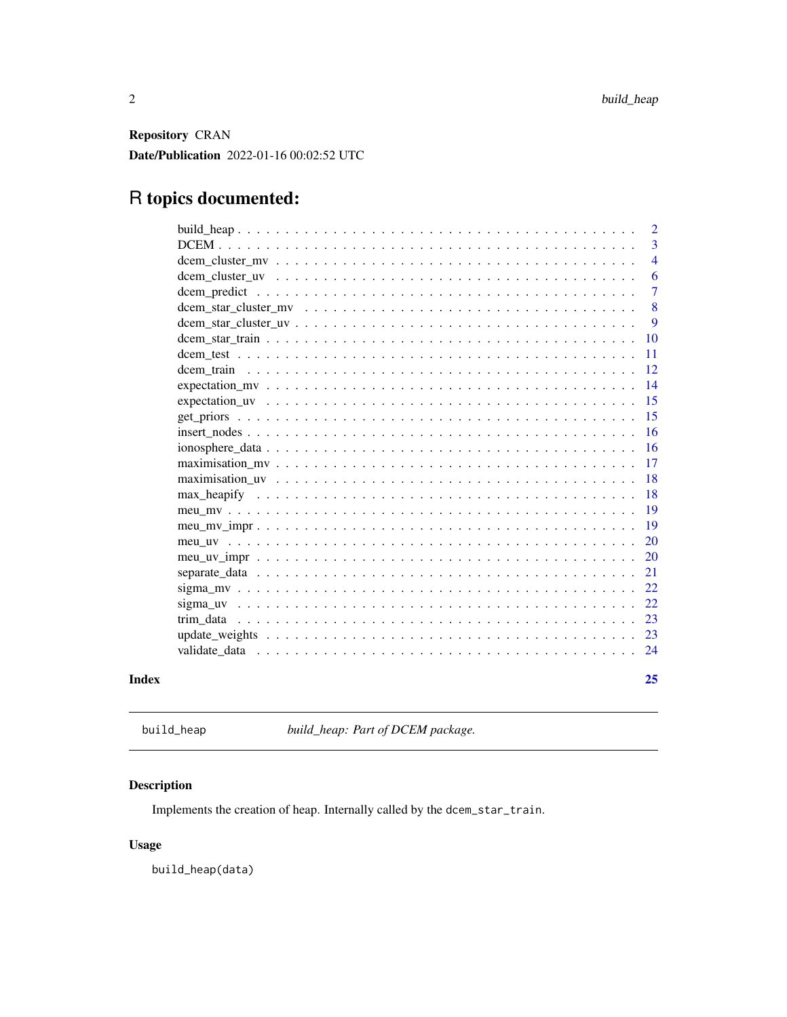<span id="page-1-0"></span>Repository CRAN Date/Publication 2022-01-16 00:02:52 UTC

# R topics documented:

|       |                                                                                                                       | $\overline{2}$ |
|-------|-----------------------------------------------------------------------------------------------------------------------|----------------|
|       |                                                                                                                       | 3              |
|       |                                                                                                                       | $\overline{4}$ |
|       |                                                                                                                       | 6              |
|       |                                                                                                                       | 7              |
|       |                                                                                                                       | 8              |
|       |                                                                                                                       | 9              |
|       |                                                                                                                       | 10             |
|       |                                                                                                                       | 11             |
|       |                                                                                                                       | 12             |
|       |                                                                                                                       | 14             |
|       |                                                                                                                       | 15             |
|       |                                                                                                                       | 15             |
|       | $insert\_nodes \dots \dots \dots \dots \dots \dots \dots \dots \dots \dots \dots \dots \dots \dots \dots \dots \dots$ | 16             |
|       |                                                                                                                       | 16             |
|       |                                                                                                                       | 17             |
|       |                                                                                                                       | 18             |
|       |                                                                                                                       | 18             |
|       |                                                                                                                       | 19             |
|       |                                                                                                                       | 19             |
|       |                                                                                                                       | 20             |
|       |                                                                                                                       | <b>20</b>      |
|       |                                                                                                                       | 21             |
|       |                                                                                                                       | 22             |
|       |                                                                                                                       | 22             |
|       |                                                                                                                       | 23             |
|       |                                                                                                                       | 23             |
|       |                                                                                                                       |                |
| Index |                                                                                                                       | 25             |

build\_heap *build\_heap: Part of DCEM package.*

# Description

Implements the creation of heap. Internally called by the dcem\_star\_train.

# Usage

build\_heap(data)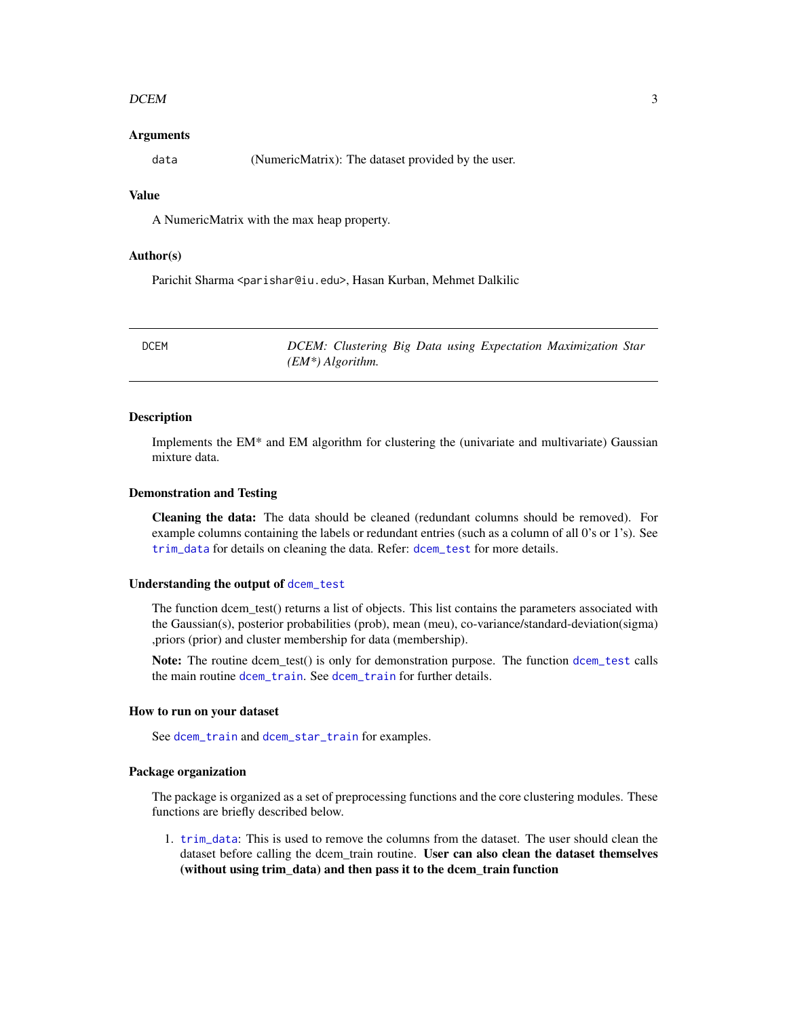#### <span id="page-2-0"></span> $DCEM$  3

#### Arguments

data (NumericMatrix): The dataset provided by the user.

### Value

A NumericMatrix with the max heap property.

#### Author(s)

Parichit Sharma <parishar@iu.edu>, Hasan Kurban, Mehmet Dalkilic

DCEM *DCEM: Clustering Big Data using Expectation Maximization Star (EM\*) Algorithm.*

# Description

Implements the EM\* and EM algorithm for clustering the (univariate and multivariate) Gaussian mixture data.

#### Demonstration and Testing

Cleaning the data: The data should be cleaned (redundant columns should be removed). For example columns containing the labels or redundant entries (such as a column of all 0's or 1's). See [trim\\_data](#page-22-1) for details on cleaning the data. Refer: [dcem\\_test](#page-10-1) for more details.

#### Understanding the output of [dcem\\_test](#page-10-1)

The function dcem\_test() returns a list of objects. This list contains the parameters associated with the Gaussian(s), posterior probabilities (prob), mean (meu), co-variance/standard-deviation(sigma) ,priors (prior) and cluster membership for data (membership).

Note: The routine dcem test() is only for demonstration purpose. The function [dcem\\_test](#page-10-1) calls the main routine [dcem\\_train](#page-11-1). See [dcem\\_train](#page-11-1) for further details.

#### How to run on your dataset

See [dcem\\_train](#page-11-1) and [dcem\\_star\\_train](#page-9-1) for examples.

#### Package organization

The package is organized as a set of preprocessing functions and the core clustering modules. These functions are briefly described below.

1. [trim\\_data](#page-22-1): This is used to remove the columns from the dataset. The user should clean the dataset before calling the dcem train routine. User can also clean the dataset themselves (without using trim\_data) and then pass it to the dcem\_train function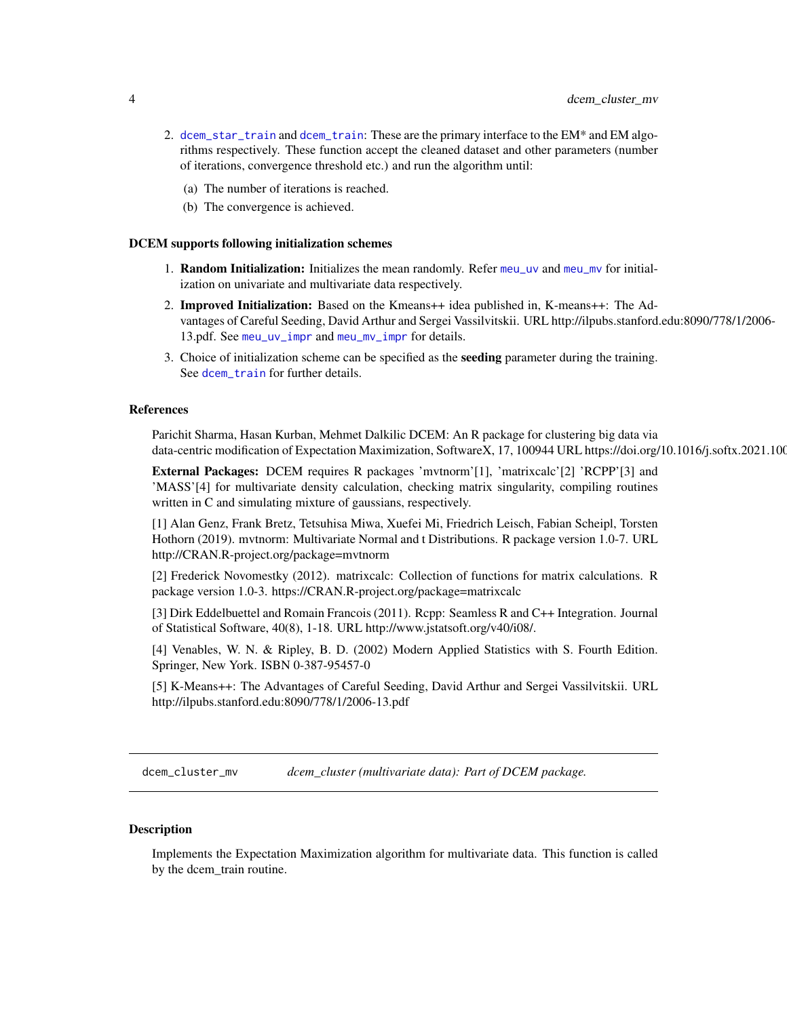- <span id="page-3-0"></span>2. [dcem\\_star\\_train](#page-9-1) and [dcem\\_train](#page-11-1): These are the primary interface to the EM\* and EM algorithms respectively. These function accept the cleaned dataset and other parameters (number of iterations, convergence threshold etc.) and run the algorithm until:
	- (a) The number of iterations is reached.
	- (b) The convergence is achieved.

#### DCEM supports following initialization schemes

- 1. Random Initialization: Initializes the mean randomly. Refer [meu\\_uv](#page-19-1) and [meu\\_mv](#page-18-1) for initialization on univariate and multivariate data respectively.
- 2. Improved Initialization: Based on the Kmeans++ idea published in, K-means++: The Advantages of Careful Seeding, David Arthur and Sergei Vassilvitskii. URL http://ilpubs.stanford.edu:8090/778/1/2006- 13.pdf. See [meu\\_uv\\_impr](#page-19-2) and [meu\\_mv\\_impr](#page-18-2) for details.
- 3. Choice of initialization scheme can be specified as the **seeding** parameter during the training. See [dcem\\_train](#page-11-1) for further details.

#### References

Parichit Sharma, Hasan Kurban, Mehmet Dalkilic DCEM: An R package for clustering big data via data-centric modification of Expectation Maximization, SoftwareX, 17, 100944 URL https://doi.org/10.1016/j.softx.2021.100

External Packages: DCEM requires R packages 'mvtnorm'[1], 'matrixcalc'[2] 'RCPP'[3] and 'MASS'[4] for multivariate density calculation, checking matrix singularity, compiling routines written in C and simulating mixture of gaussians, respectively.

[1] Alan Genz, Frank Bretz, Tetsuhisa Miwa, Xuefei Mi, Friedrich Leisch, Fabian Scheipl, Torsten Hothorn (2019). mvtnorm: Multivariate Normal and t Distributions. R package version 1.0-7. URL http://CRAN.R-project.org/package=mvtnorm

[2] Frederick Novomestky (2012). matrixcalc: Collection of functions for matrix calculations. R package version 1.0-3. https://CRAN.R-project.org/package=matrixcalc

[3] Dirk Eddelbuettel and Romain Francois (2011). Rcpp: Seamless R and C++ Integration. Journal of Statistical Software, 40(8), 1-18. URL http://www.jstatsoft.org/v40/i08/.

[4] Venables, W. N. & Ripley, B. D. (2002) Modern Applied Statistics with S. Fourth Edition. Springer, New York. ISBN 0-387-95457-0

[5] K-Means++: The Advantages of Careful Seeding, David Arthur and Sergei Vassilvitskii. URL http://ilpubs.stanford.edu:8090/778/1/2006-13.pdf

<span id="page-3-1"></span>dcem\_cluster\_mv *dcem\_cluster (multivariate data): Part of DCEM package.*

#### **Description**

Implements the Expectation Maximization algorithm for multivariate data. This function is called by the dcem\_train routine.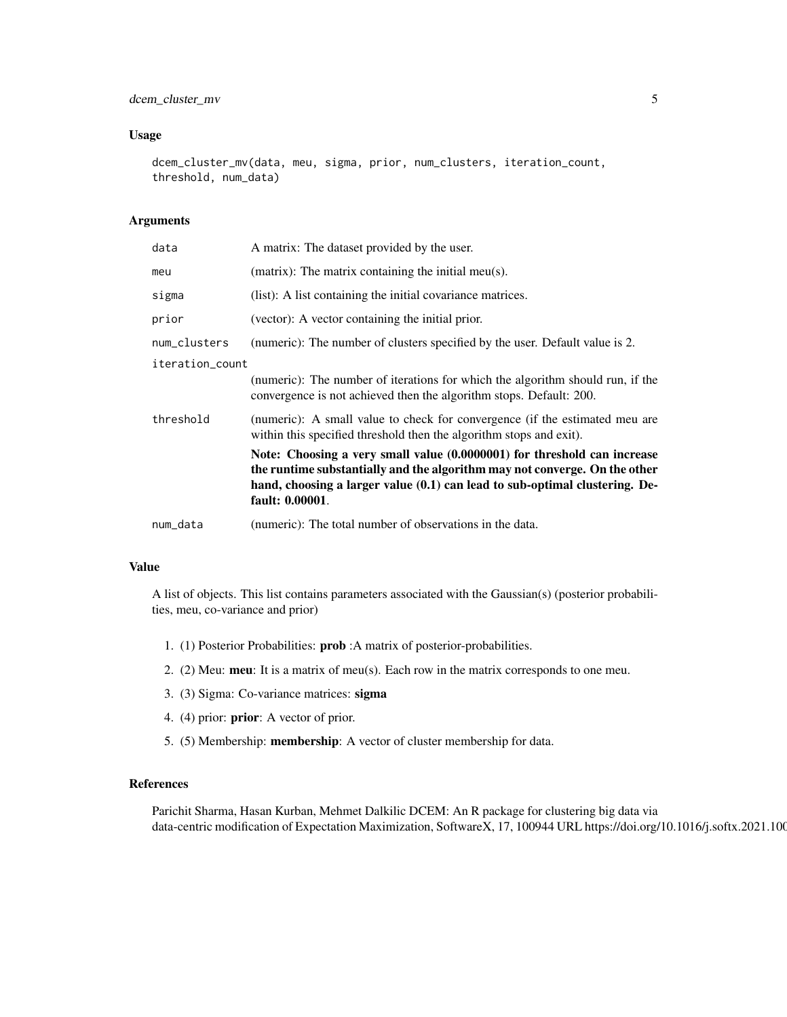#### Usage

```
dcem_cluster_mv(data, meu, sigma, prior, num_clusters, iteration_count,
threshold, num_data)
```
#### Arguments

| data            | A matrix: The dataset provided by the user.                                                                                                                                                                                                              |  |
|-----------------|----------------------------------------------------------------------------------------------------------------------------------------------------------------------------------------------------------------------------------------------------------|--|
| meu             | (matrix): The matrix containing the initial meu(s).                                                                                                                                                                                                      |  |
| sigma           | (list): A list containing the initial covariance matrices.                                                                                                                                                                                               |  |
| prior           | (vector): A vector containing the initial prior.                                                                                                                                                                                                         |  |
| num_clusters    | (numeric): The number of clusters specified by the user. Default value is 2.                                                                                                                                                                             |  |
| iteration_count |                                                                                                                                                                                                                                                          |  |
|                 | (numeric): The number of iterations for which the algorithm should run, if the<br>convergence is not achieved then the algorithm stops. Default: 200.                                                                                                    |  |
| threshold       | (numeric): A small value to check for convergence (if the estimated meu are<br>within this specified threshold then the algorithm stops and exit).                                                                                                       |  |
|                 | Note: Choosing a very small value (0.0000001) for threshold can increase<br>the runtime substantially and the algorithm may not converge. On the other<br>hand, choosing a larger value (0.1) can lead to sub-optimal clustering. De-<br>fault: 0.00001. |  |
| num_data        | (numeric): The total number of observations in the data.                                                                                                                                                                                                 |  |

# Value

A list of objects. This list contains parameters associated with the Gaussian(s) (posterior probabilities, meu, co-variance and prior)

- 1. (1) Posterior Probabilities: prob :A matrix of posterior-probabilities.
- 2. (2) Meu: meu: It is a matrix of meu(s). Each row in the matrix corresponds to one meu.
- 3. (3) Sigma: Co-variance matrices: sigma
- 4. (4) prior: prior: A vector of prior.
- 5. (5) Membership: membership: A vector of cluster membership for data.

# References

Parichit Sharma, Hasan Kurban, Mehmet Dalkilic DCEM: An R package for clustering big data via data-centric modification of Expectation Maximization, SoftwareX, 17, 100944 URL https://doi.org/10.1016/j.softx.2021.100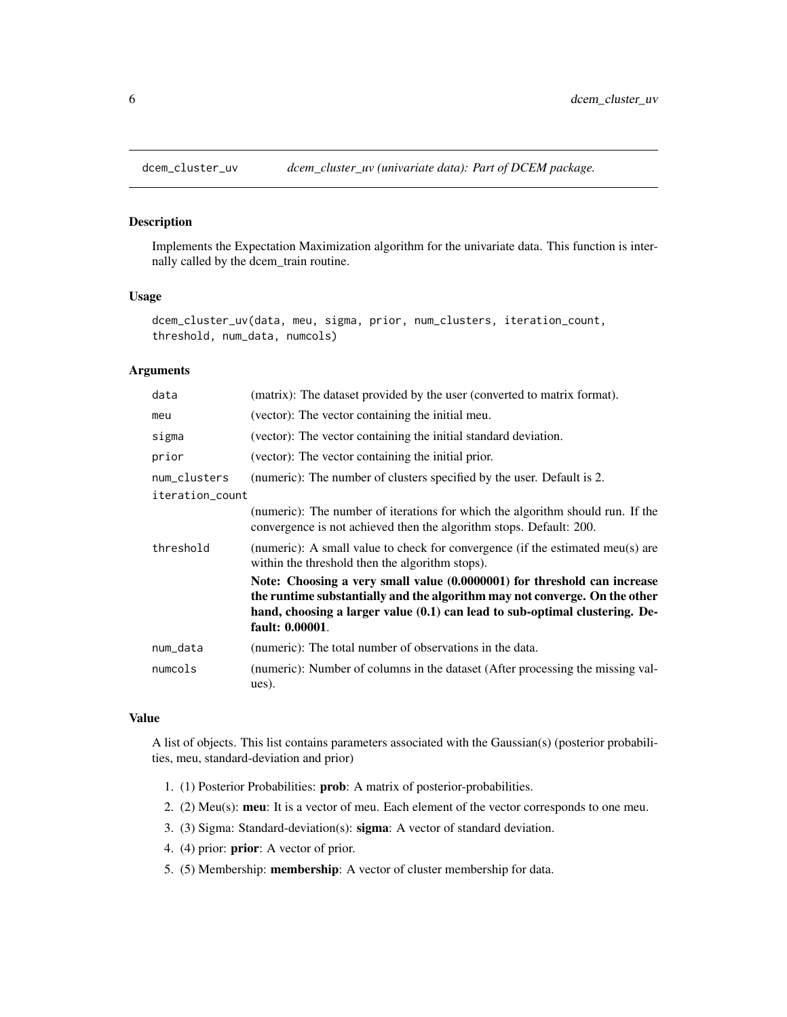<span id="page-5-1"></span><span id="page-5-0"></span>

Implements the Expectation Maximization algorithm for the univariate data. This function is internally called by the dcem\_train routine.

# Usage

```
dcem_cluster_uv(data, meu, sigma, prior, num_clusters, iteration_count,
threshold, num_data, numcols)
```
# Arguments

| data            | (matrix): The dataset provided by the user (converted to matrix format).                                                                                                                                                                                 |
|-----------------|----------------------------------------------------------------------------------------------------------------------------------------------------------------------------------------------------------------------------------------------------------|
| meu             | (vector): The vector containing the initial meu.                                                                                                                                                                                                         |
| sigma           | (vector): The vector containing the initial standard deviation.                                                                                                                                                                                          |
| prior           | (vector): The vector containing the initial prior.                                                                                                                                                                                                       |
| num_clusters    | (numeric): The number of clusters specified by the user. Default is 2.                                                                                                                                                                                   |
| iteration_count |                                                                                                                                                                                                                                                          |
|                 | (numeric): The number of iterations for which the algorithm should run. If the<br>convergence is not achieved then the algorithm stops. Default: 200.                                                                                                    |
| threshold       | (numeric): A small value to check for convergence (if the estimated meu(s) are<br>within the threshold then the algorithm stops).                                                                                                                        |
|                 | Note: Choosing a very small value (0.0000001) for threshold can increase<br>the runtime substantially and the algorithm may not converge. On the other<br>hand, choosing a larger value (0.1) can lead to sub-optimal clustering. De-<br>fault: 0.00001. |
| num_data        | (numeric): The total number of observations in the data.                                                                                                                                                                                                 |
| numcols         | (numeric): Number of columns in the dataset (After processing the missing val-<br>ues).                                                                                                                                                                  |

#### Value

A list of objects. This list contains parameters associated with the Gaussian(s) (posterior probabilities, meu, standard-deviation and prior)

- 1. (1) Posterior Probabilities: prob: A matrix of posterior-probabilities.
- 2. (2) Meu(s): meu: It is a vector of meu. Each element of the vector corresponds to one meu.
- 3. (3) Sigma: Standard-deviation(s): sigma: A vector of standard deviation.
- 4. (4) prior: prior: A vector of prior.
- 5. (5) Membership: membership: A vector of cluster membership for data.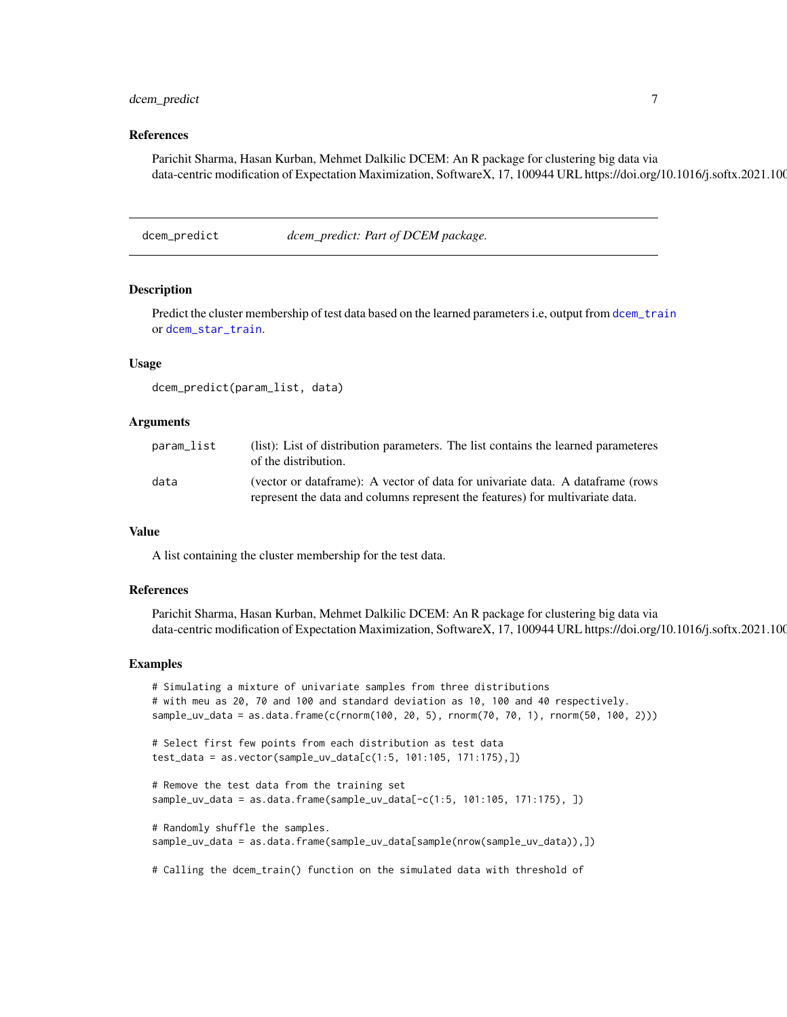# <span id="page-6-0"></span>dcem\_predict 7

#### References

Parichit Sharma, Hasan Kurban, Mehmet Dalkilic DCEM: An R package for clustering big data via data-centric modification of Expectation Maximization, SoftwareX, 17, 100944 URL https://doi.org/10.1016/j.softx.2021.100

dcem\_predict *dcem\_predict: Part of DCEM package.*

# **Description**

Predict the cluster membership of test data based on the learned parameters i.e, output from [dcem\\_train](#page-11-1) or [dcem\\_star\\_train](#page-9-1).

## Usage

dcem\_predict(param\_list, data)

#### **Arguments**

| param_list | (list): List of distribution parameters. The list contains the learned parameteres<br>of the distribution.                                                      |
|------------|-----------------------------------------------------------------------------------------------------------------------------------------------------------------|
| data       | (vector or dataframe): A vector of data for univariate data. A dataframe (rows<br>represent the data and columns represent the features) for multivariate data. |

#### Value

A list containing the cluster membership for the test data.

#### References

Parichit Sharma, Hasan Kurban, Mehmet Dalkilic DCEM: An R package for clustering big data via data-centric modification of Expectation Maximization, SoftwareX, 17, 100944 URL https://doi.org/10.1016/j.softx.2021.100

#### Examples

```
# Simulating a mixture of univariate samples from three distributions
# with meu as 20, 70 and 100 and standard deviation as 10, 100 and 40 respectively.
sample_uv_data = as.data.frame(c(rnorm(100, 20, 5), rnorm(70, 70, 1), rnorm(50, 100, 2)))
# Select first few points from each distribution as test data
test_data = as.vector(sample_uv_data[c(1:5, 101:105, 171:175),])
# Remove the test data from the training set
sample_uv_data = as.data.frame(sample_uv_data[-c(1:5, 101:105, 171:175), ])
# Randomly shuffle the samples.
sample_uv_data = as.data.frame(sample_uv_data[sample(nrow(sample_uv_data)),])
```
# Calling the dcem\_train() function on the simulated data with threshold of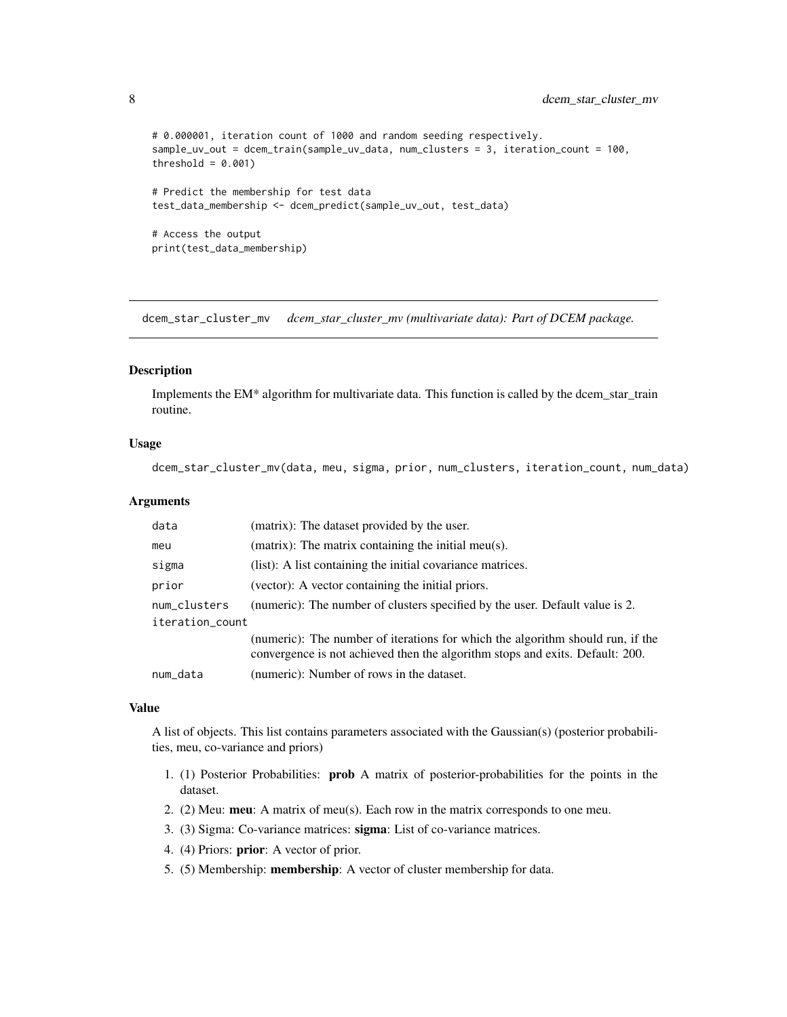```
# 0.000001, iteration count of 1000 and random seeding respectively.
sample_uv_out = dcem_train(sample_uv_data, num_clusters = 3, iteration_count = 100,
threshold = 0.001)
# Predict the membership for test data
test_data_membership <- dcem_predict(sample_uv_out, test_data)
# Access the output
print(test_data_membership)
```
<span id="page-7-1"></span>dcem\_star\_cluster\_mv *dcem\_star\_cluster\_mv (multivariate data): Part of DCEM package.*

#### Description

Implements the EM\* algorithm for multivariate data. This function is called by the dcem\_star\_train routine.

# Usage

dcem\_star\_cluster\_mv(data, meu, sigma, prior, num\_clusters, iteration\_count, num\_data)

#### Arguments

| data            | (matrix): The dataset provided by the user.                                                                                                                     |
|-----------------|-----------------------------------------------------------------------------------------------------------------------------------------------------------------|
| meu             | (matrix): The matrix containing the initial meu(s).                                                                                                             |
| sigma           | (list): A list containing the initial covariance matrices.                                                                                                      |
| prior           | (vector): A vector containing the initial priors.                                                                                                               |
| num_clusters    | (numeric): The number of clusters specified by the user. Default value is 2.                                                                                    |
| iteration_count |                                                                                                                                                                 |
|                 | (numeric): The number of iterations for which the algorithm should run, if the<br>convergence is not achieved then the algorithm stops and exits. Default: 200. |
| num_data        | (numeric): Number of rows in the dataset.                                                                                                                       |

#### Value

A list of objects. This list contains parameters associated with the Gaussian(s) (posterior probabilities, meu, co-variance and priors)

- 1. (1) Posterior Probabilities: prob A matrix of posterior-probabilities for the points in the dataset.
- 2. (2) Meu: meu: A matrix of meu(s). Each row in the matrix corresponds to one meu.
- 3. (3) Sigma: Co-variance matrices: sigma: List of co-variance matrices.
- 4. (4) Priors: prior: A vector of prior.
- 5. (5) Membership: membership: A vector of cluster membership for data.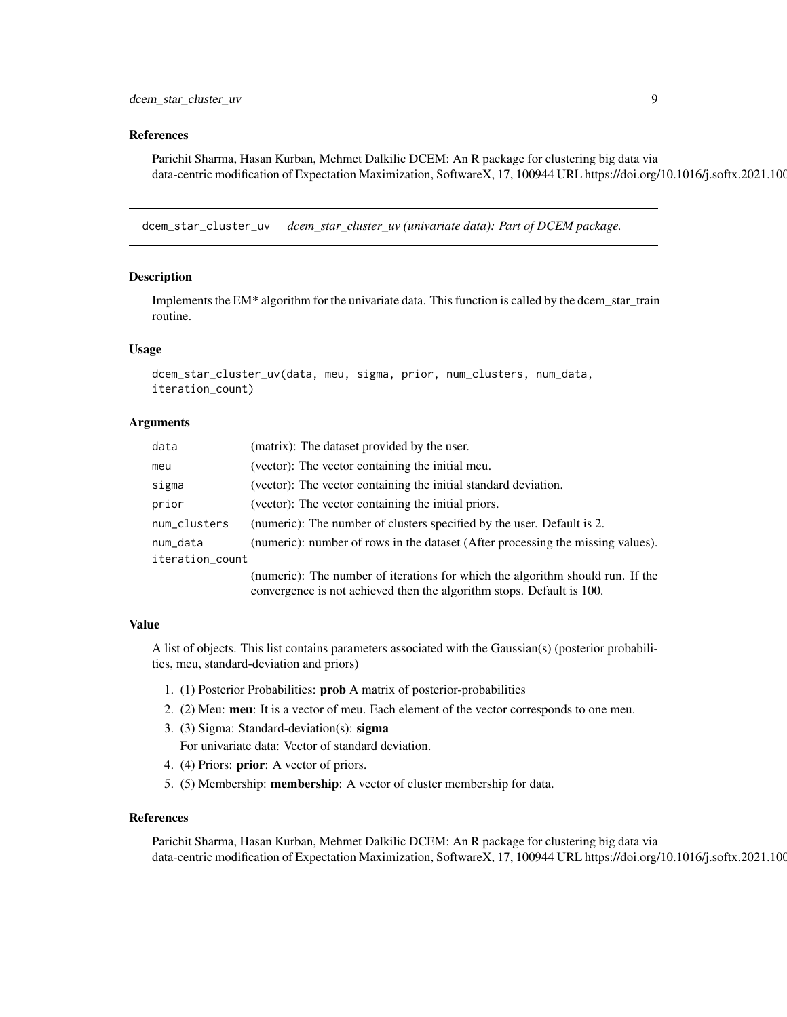#### <span id="page-8-0"></span>References

Parichit Sharma, Hasan Kurban, Mehmet Dalkilic DCEM: An R package for clustering big data via data-centric modification of Expectation Maximization, SoftwareX, 17, 100944 URL https://doi.org/10.1016/j.softx.2021.100

<span id="page-8-1"></span>dcem\_star\_cluster\_uv *dcem\_star\_cluster\_uv (univariate data): Part of DCEM package.*

#### Description

Implements the EM\* algorithm for the univariate data. This function is called by the dcem\_star\_train routine.

#### Usage

```
dcem_star_cluster_uv(data, meu, sigma, prior, num_clusters, num_data,
iteration_count)
```
#### Arguments

| data            | (matrix): The dataset provided by the user.                                     |  |
|-----------------|---------------------------------------------------------------------------------|--|
| meu             | (vector): The vector containing the initial meu.                                |  |
| sigma           | (vector): The vector containing the initial standard deviation.                 |  |
| prior           | (vector): The vector containing the initial priors.                             |  |
| num_clusters    | (numeric): The number of clusters specified by the user. Default is 2.          |  |
| num_data        | (numeric): number of rows in the dataset (After processing the missing values). |  |
| iteration_count |                                                                                 |  |
|                 | (numeric): The number of iterations for which the algorithm should run. If the  |  |
|                 | convergence is not achieved then the algorithm stops. Default is 100.           |  |

#### Value

A list of objects. This list contains parameters associated with the Gaussian(s) (posterior probabilities, meu, standard-deviation and priors)

- 1. (1) Posterior Probabilities: prob A matrix of posterior-probabilities
- 2. (2) Meu: meu: It is a vector of meu. Each element of the vector corresponds to one meu.
- 3. (3) Sigma: Standard-deviation(s): sigma For univariate data: Vector of standard deviation.
- 4. (4) Priors: prior: A vector of priors.
- 5. (5) Membership: membership: A vector of cluster membership for data.

#### References

Parichit Sharma, Hasan Kurban, Mehmet Dalkilic DCEM: An R package for clustering big data via data-centric modification of Expectation Maximization, SoftwareX, 17, 100944 URL https://doi.org/10.1016/j.softx.2021.100944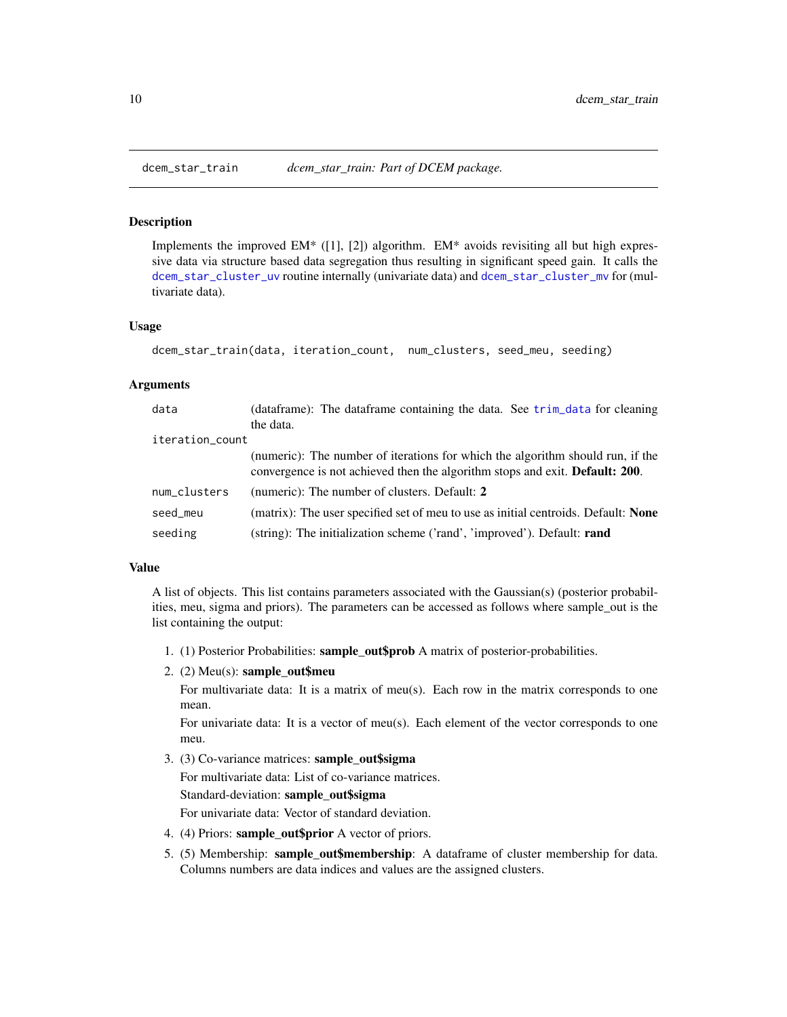Implements the improved EM\* ([1], [2]) algorithm. EM\* avoids revisiting all but high expressive data via structure based data segregation thus resulting in significant speed gain. It calls the [dcem\\_star\\_cluster\\_uv](#page-8-1) routine internally (univariate data) and [dcem\\_star\\_cluster\\_mv](#page-7-1) for (multivariate data).

#### Usage

```
dcem_star_train(data, iteration_count, num_clusters, seed_meu, seeding)
```
#### Arguments

| data            | (dataframe): The dataframe containing the data. See trim_data for cleaning                                                                                             |
|-----------------|------------------------------------------------------------------------------------------------------------------------------------------------------------------------|
|                 | the data.                                                                                                                                                              |
| iteration_count |                                                                                                                                                                        |
|                 | (numeric): The number of iterations for which the algorithm should run, if the<br>convergence is not achieved then the algorithm stops and exit. <b>Default: 200</b> . |
| num_clusters    | (numeric): The number of clusters. Default: 2                                                                                                                          |
| seed_meu        | (matrix): The user specified set of meu to use as initial centroids. Default: <b>None</b>                                                                              |
| seeding         | (string): The initialization scheme ('rand', 'improved'). Default: <b>rand</b>                                                                                         |

#### Value

A list of objects. This list contains parameters associated with the Gaussian(s) (posterior probabilities, meu, sigma and priors). The parameters can be accessed as follows where sample\_out is the list containing the output:

- 1. (1) Posterior Probabilities: sample\_out\$prob A matrix of posterior-probabilities.
- 2. (2) Meu(s): sample\_out\$meu

For multivariate data: It is a matrix of meu(s). Each row in the matrix corresponds to one mean.

For univariate data: It is a vector of meu(s). Each element of the vector corresponds to one meu.

- 3. (3) Co-variance matrices: sample\_out\$sigma For multivariate data: List of co-variance matrices. Standard-deviation: sample\_out\$sigma For univariate data: Vector of standard deviation.
- 4. (4) Priors: sample\_out\$prior A vector of priors.
- 5. (5) Membership: sample\_out\$membership: A dataframe of cluster membership for data. Columns numbers are data indices and values are the assigned clusters.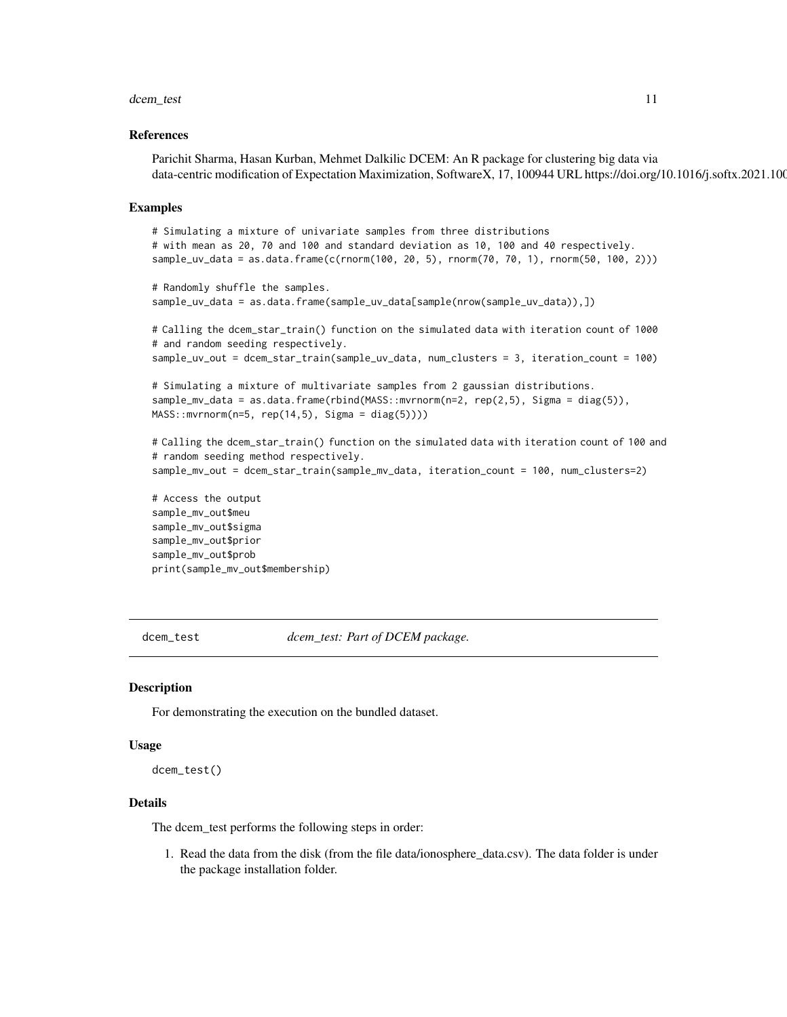#### <span id="page-10-0"></span>dcem\_test 11

#### References

Parichit Sharma, Hasan Kurban, Mehmet Dalkilic DCEM: An R package for clustering big data via data-centric modification of Expectation Maximization, SoftwareX, 17, 100944 URL https://doi.org/10.1016/j.softx.2021.100

#### Examples

```
# Simulating a mixture of univariate samples from three distributions
# with mean as 20, 70 and 100 and standard deviation as 10, 100 and 40 respectively.
sample_uv_data = as.data.frame(c(rnorm(100, 20, 5), rnorm(70, 70, 1), rnorm(50, 100, 2)))
# Randomly shuffle the samples.
sample_uv_data = as.data.frame(sample_uv_data[sample(nrow(sample_uv_data)),])
# Calling the dcem_star_train() function on the simulated data with iteration count of 1000
# and random seeding respectively.
sample_uv_out = dcem_star_train(sample_uv_data, num_clusters = 3, iteration_count = 100)
# Simulating a mixture of multivariate samples from 2 gaussian distributions.
sample_mv_data = as.data.frame(rbind(MASS::mvrnorm(n=2, rep(2,5), Sigma = diag(5)),
MASS: : mvrnorm(n=5, rep(14,5), Sigma = diag(5))))# Calling the dcem_star_train() function on the simulated data with iteration count of 100 and
# random seeding method respectively.
sample_mv_out = dcem_star_train(sample_mv_data, iteration_count = 100, num_clusters=2)
# Access the output
sample_mv_out$meu
sample_mv_out$sigma
sample_mv_out$prior
sample_mv_out$prob
print(sample_mv_out$membership)
```
<span id="page-10-1"></span>dcem\_test *dcem\_test: Part of DCEM package.*

#### **Description**

For demonstrating the execution on the bundled dataset.

#### Usage

dcem\_test()

#### Details

The dcem\_test performs the following steps in order:

1. Read the data from the disk (from the file data/ionosphere\_data.csv). The data folder is under the package installation folder.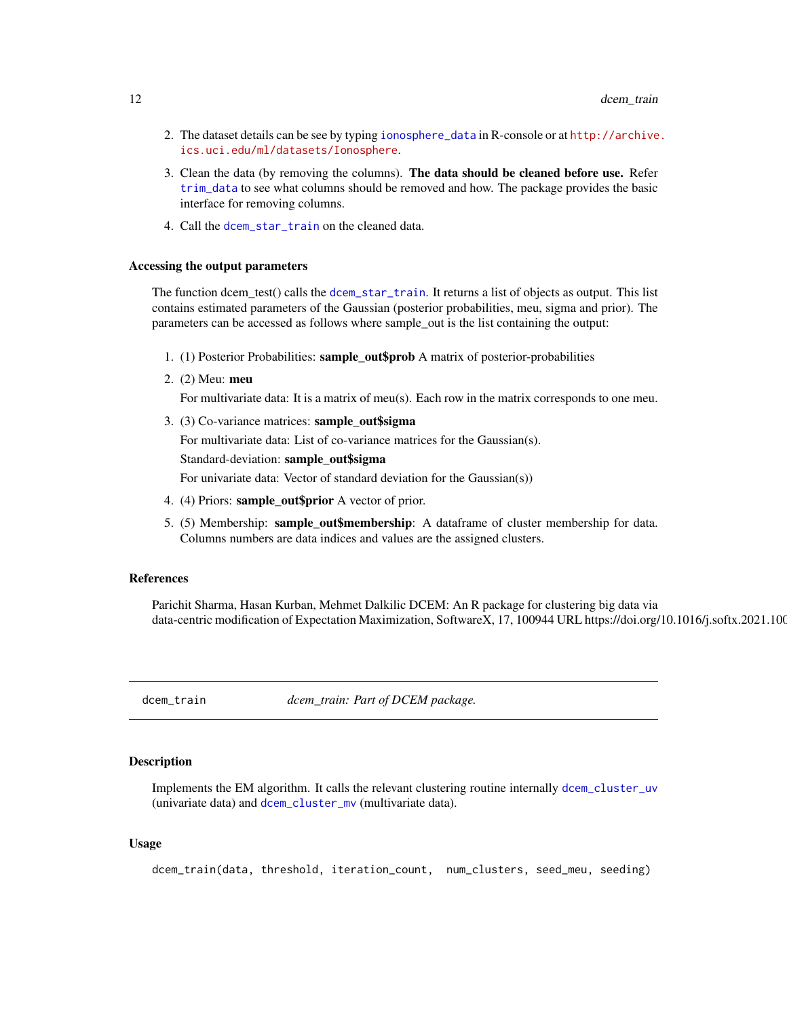- <span id="page-11-0"></span>2. The dataset details can be see by typing [ionosphere\\_data](#page-15-1) in R-console or at [http://archive](http://archive.ics.uci.edu/ml/datasets/Ionosphere). [ics.uci.edu/ml/datasets/Ionosphere](http://archive.ics.uci.edu/ml/datasets/Ionosphere).
- 3. Clean the data (by removing the columns). The data should be cleaned before use. Refer [trim\\_data](#page-22-1) to see what columns should be removed and how. The package provides the basic interface for removing columns.
- 4. Call the [dcem\\_star\\_train](#page-9-1) on the cleaned data.

### Accessing the output parameters

The function dcem\_test() calls the [dcem\\_star\\_train](#page-9-1). It returns a list of objects as output. This list contains estimated parameters of the Gaussian (posterior probabilities, meu, sigma and prior). The parameters can be accessed as follows where sample\_out is the list containing the output:

- 1. (1) Posterior Probabilities: sample\_out\$prob A matrix of posterior-probabilities
- 2. (2) Meu: meu For multivariate data: It is a matrix of meu(s). Each row in the matrix corresponds to one meu.
- 3. (3) Co-variance matrices: sample\_out\$sigma For multivariate data: List of co-variance matrices for the Gaussian(s). Standard-deviation: sample\_out\$sigma For univariate data: Vector of standard deviation for the Gaussian(s))

- 4. (4) Priors: sample\_out\$prior A vector of prior.
- 5. (5) Membership: sample\_out\$membership: A dataframe of cluster membership for data. Columns numbers are data indices and values are the assigned clusters.

#### References

Parichit Sharma, Hasan Kurban, Mehmet Dalkilic DCEM: An R package for clustering big data via data-centric modification of Expectation Maximization, SoftwareX, 17, 100944 URL https://doi.org/10.1016/j.softx.2021.100944

<span id="page-11-1"></span>dcem\_train *dcem\_train: Part of DCEM package.*

#### Description

Implements the EM algorithm. It calls the relevant clustering routine internally [dcem\\_cluster\\_uv](#page-5-1) (univariate data) and [dcem\\_cluster\\_mv](#page-3-1) (multivariate data).

#### Usage

dcem\_train(data, threshold, iteration\_count, num\_clusters, seed\_meu, seeding)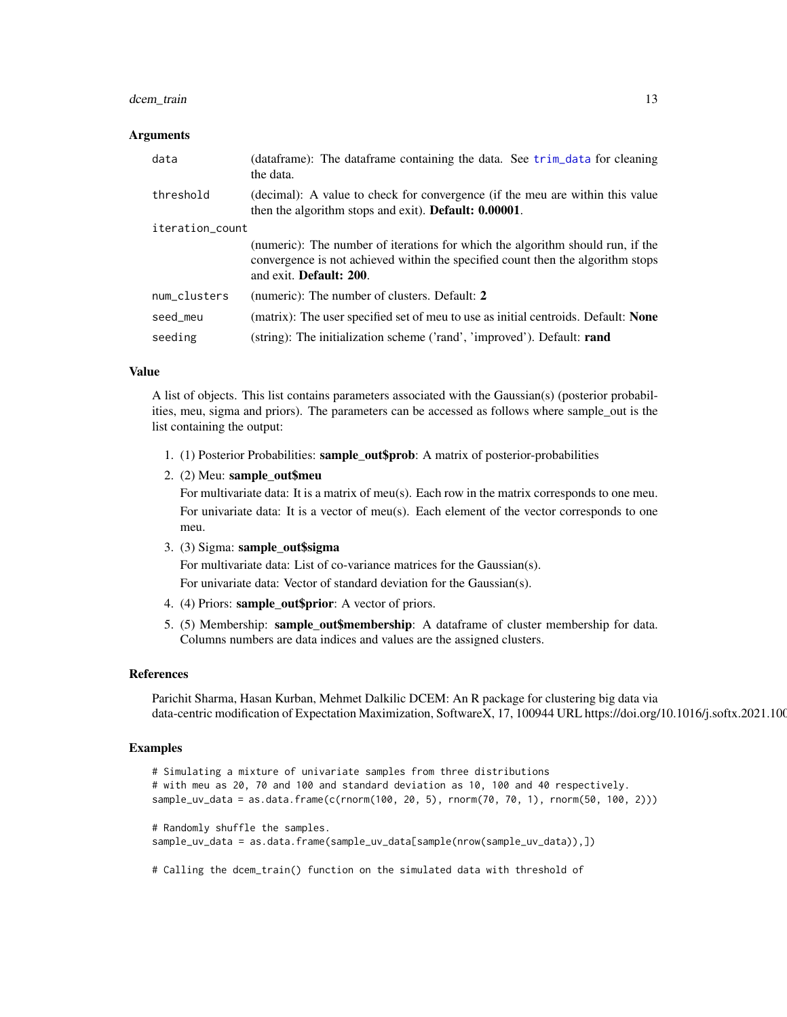# <span id="page-12-0"></span>dcem\_train 13

#### Arguments

| data            | (dataframe): The dataframe containing the data. See trim_data for cleaning<br>the data.                                                                                                              |  |
|-----------------|------------------------------------------------------------------------------------------------------------------------------------------------------------------------------------------------------|--|
| threshold       | (decimal): A value to check for convergence (if the meu are within this value<br>then the algorithm stops and exit). Default: 0.00001.                                                               |  |
| iteration_count |                                                                                                                                                                                                      |  |
|                 | (numeric): The number of iterations for which the algorithm should run, if the<br>convergence is not achieved within the specified count then the algorithm stops<br>and exit. <b>Default: 200</b> . |  |
| num clusters    | (numeric): The number of clusters. Default: 2                                                                                                                                                        |  |
| seed_meu        | (matrix): The user specified set of meu to use as initial centroids. Default: <b>None</b>                                                                                                            |  |
| seeding         | (string): The initialization scheme ('rand', 'improved'). Default: <b>rand</b>                                                                                                                       |  |

#### Value

A list of objects. This list contains parameters associated with the Gaussian(s) (posterior probabilities, meu, sigma and priors). The parameters can be accessed as follows where sample\_out is the list containing the output:

- 1. (1) Posterior Probabilities: sample\_out\$prob: A matrix of posterior-probabilities
- 2. (2) Meu: sample\_out\$meu

For multivariate data: It is a matrix of meu(s). Each row in the matrix corresponds to one meu. For univariate data: It is a vector of meu(s). Each element of the vector corresponds to one meu.

3. (3) Sigma: sample\_out\$sigma

For multivariate data: List of co-variance matrices for the Gaussian(s).

For univariate data: Vector of standard deviation for the Gaussian(s).

- 4. (4) Priors: sample\_out\$prior: A vector of priors.
- 5. (5) Membership: sample\_out\$membership: A dataframe of cluster membership for data. Columns numbers are data indices and values are the assigned clusters.

#### References

Parichit Sharma, Hasan Kurban, Mehmet Dalkilic DCEM: An R package for clustering big data via data-centric modification of Expectation Maximization, SoftwareX, 17, 100944 URL https://doi.org/10.1016/j.softx.2021.100

# Examples

```
# Simulating a mixture of univariate samples from three distributions
# with meu as 20, 70 and 100 and standard deviation as 10, 100 and 40 respectively.
sample_uv_data = as.data.frame(c(rnorm(100, 20, 5), rnorm(70, 70, 1), rnorm(50, 100, 2)))
# Randomly shuffle the samples.
sample_uv_data = as.data.frame(sample_uv_data[sample(nrow(sample_uv_data)),])
```
# Calling the dcem\_train() function on the simulated data with threshold of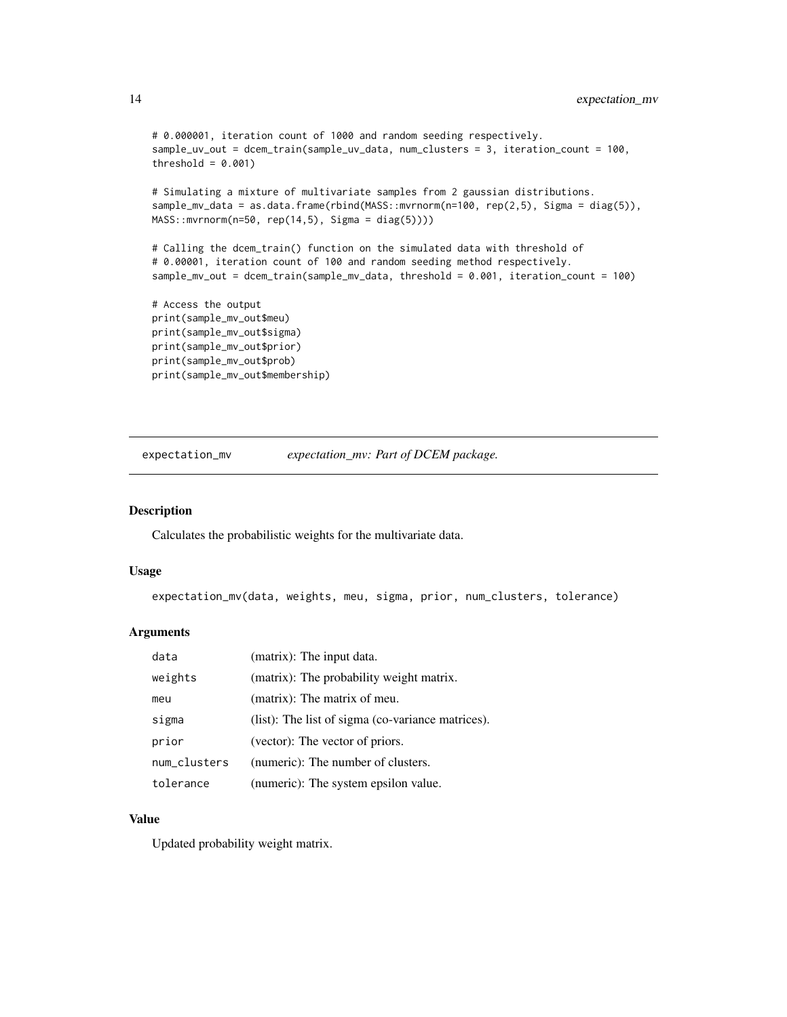```
# 0.000001, iteration count of 1000 and random seeding respectively.
sample_uv_out = dcem_train(sample_uv_data, num_clusters = 3, iteration_count = 100,
threshold = 0.001)
# Simulating a mixture of multivariate samples from 2 gaussian distributions.
sample_mv_data = as.data.frame(rbind(MASS::mvrnorm(n=100, rep(2,5), Sigma = diag(5)),
MASS::mvrnorm(n=50, rep(14,5), Sigma = diag(5))))
# Calling the dcem_train() function on the simulated data with threshold of
# 0.00001, iteration count of 100 and random seeding method respectively.
sample_mv_out = dcem_train(sample_mv_data, threshold = 0.001, iteration_count = 100)
# Access the output
print(sample_mv_out$meu)
print(sample_mv_out$sigma)
print(sample_mv_out$prior)
print(sample_mv_out$prob)
```

```
expectation_mv expectation_mv: Part of DCEM package.
```
print(sample\_mv\_out\$membership)

#### Description

Calculates the probabilistic weights for the multivariate data.

#### Usage

```
expectation_mv(data, weights, meu, sigma, prior, num_clusters, tolerance)
```
#### Arguments

| data         | (matrix): The input data.                         |
|--------------|---------------------------------------------------|
| weights      | (matrix): The probability weight matrix.          |
| meu          | (matrix): The matrix of meu.                      |
| sigma        | (list): The list of sigma (co-variance matrices). |
| prior        | (vector): The vector of priors.                   |
| num_clusters | (numeric): The number of clusters.                |
| tolerance    | (numeric): The system epsilon value.              |

# Value

Updated probability weight matrix.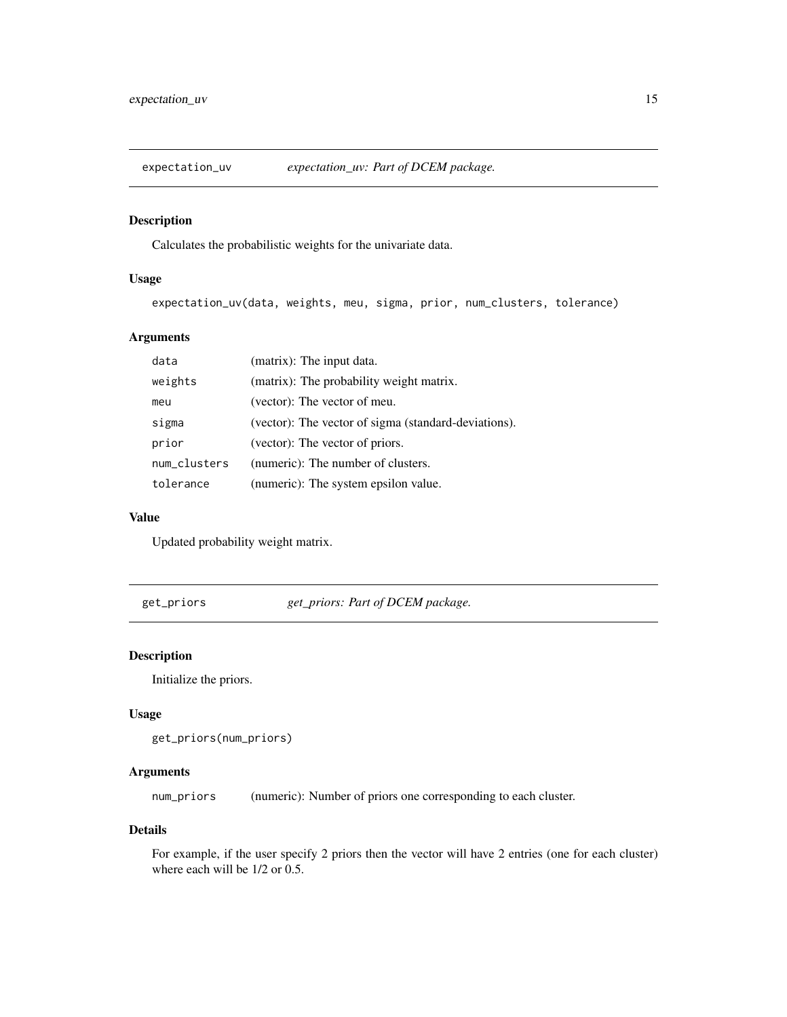<span id="page-14-0"></span>

Calculates the probabilistic weights for the univariate data.

# Usage

expectation\_uv(data, weights, meu, sigma, prior, num\_clusters, tolerance)

# Arguments

| data         | (matrix): The input data.                            |
|--------------|------------------------------------------------------|
| weights      | (matrix): The probability weight matrix.             |
| meu          | (vector): The vector of meu.                         |
| sigma        | (vector): The vector of sigma (standard-deviations). |
| prior        | (vector): The vector of priors.                      |
| num_clusters | (numeric): The number of clusters.                   |
| tolerance    | (numeric): The system epsilon value.                 |

#### Value

Updated probability weight matrix.

get\_priors *get\_priors: Part of DCEM package.*

# Description

Initialize the priors.

# Usage

```
get_priors(num_priors)
```
# Arguments

num\_priors (numeric): Number of priors one corresponding to each cluster.

# Details

For example, if the user specify 2 priors then the vector will have 2 entries (one for each cluster) where each will be 1/2 or 0.5.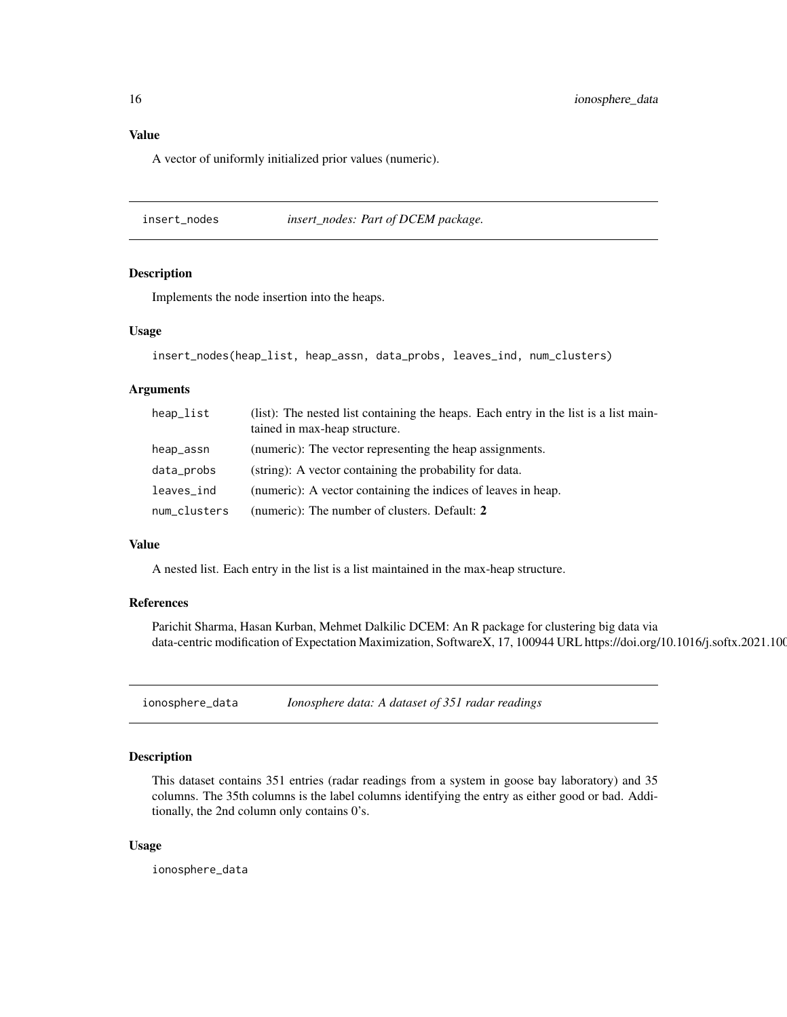# <span id="page-15-0"></span>Value

A vector of uniformly initialized prior values (numeric).

insert\_nodes *insert\_nodes: Part of DCEM package.*

#### Description

Implements the node insertion into the heaps.

#### Usage

```
insert_nodes(heap_list, heap_assn, data_probs, leaves_ind, num_clusters)
```
#### Arguments

| heap_list    | (list): The nested list containing the heaps. Each entry in the list is a list main-<br>tained in max-heap structure. |
|--------------|-----------------------------------------------------------------------------------------------------------------------|
| heap_assn    | (numeric): The vector representing the heap assignments.                                                              |
| data_probs   | (string): A vector containing the probability for data.                                                               |
| leaves_ind   | (numeric): A vector containing the indices of leaves in heap.                                                         |
| num_clusters | (numeric): The number of clusters. Default: 2                                                                         |

#### Value

A nested list. Each entry in the list is a list maintained in the max-heap structure.

#### References

Parichit Sharma, Hasan Kurban, Mehmet Dalkilic DCEM: An R package for clustering big data via data-centric modification of Expectation Maximization, SoftwareX, 17, 100944 URL https://doi.org/10.1016/j.softx.2021.100

<span id="page-15-1"></span>ionosphere\_data *Ionosphere data: A dataset of 351 radar readings*

# Description

This dataset contains 351 entries (radar readings from a system in goose bay laboratory) and 35 columns. The 35th columns is the label columns identifying the entry as either good or bad. Additionally, the 2nd column only contains 0's.

#### Usage

ionosphere\_data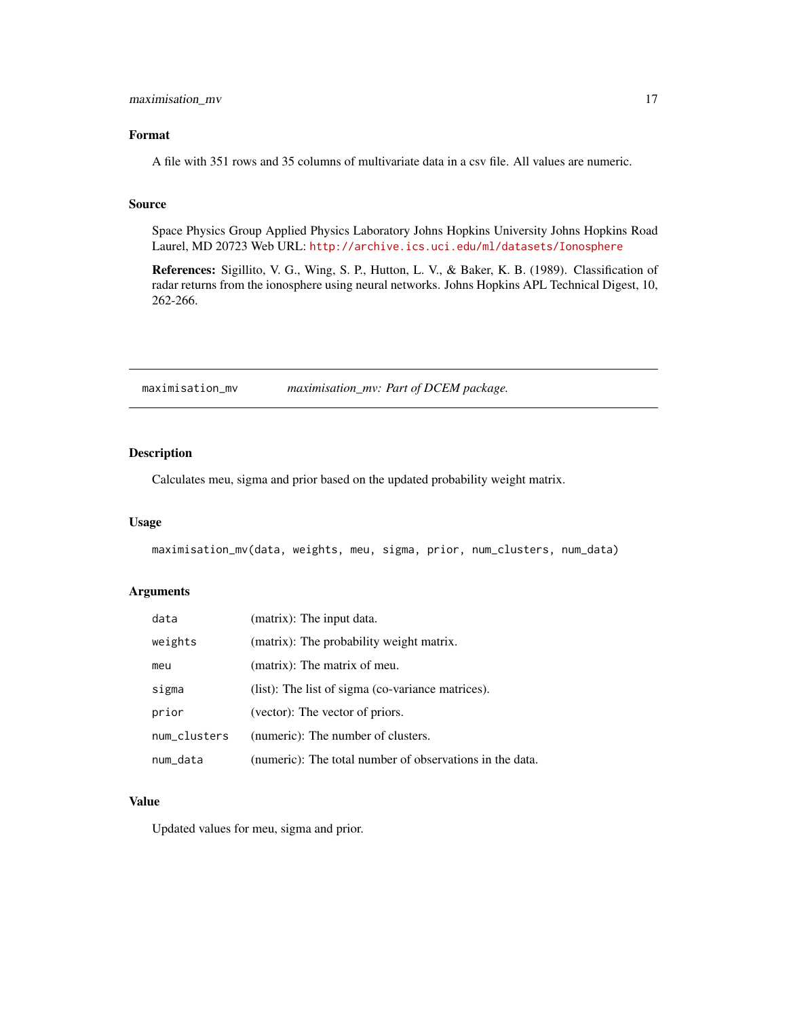# <span id="page-16-0"></span>maximisation\_mv 17

# Format

A file with 351 rows and 35 columns of multivariate data in a csv file. All values are numeric.

# Source

Space Physics Group Applied Physics Laboratory Johns Hopkins University Johns Hopkins Road Laurel, MD 20723 Web URL: <http://archive.ics.uci.edu/ml/datasets/Ionosphere>

References: Sigillito, V. G., Wing, S. P., Hutton, L. V., & Baker, K. B. (1989). Classification of radar returns from the ionosphere using neural networks. Johns Hopkins APL Technical Digest, 10, 262-266.

maximisation\_mv *maximisation\_mv: Part of DCEM package.*

# Description

Calculates meu, sigma and prior based on the updated probability weight matrix.

# Usage

maximisation\_mv(data, weights, meu, sigma, prior, num\_clusters, num\_data)

# Arguments

| data         | (matrix): The input data.                                |
|--------------|----------------------------------------------------------|
| weights      | (matrix): The probability weight matrix.                 |
| meu          | (matrix): The matrix of meu.                             |
| sigma        | (list): The list of sigma (co-variance matrices).        |
| prior        | (vector): The vector of priors.                          |
| num_clusters | (numeric): The number of clusters.                       |
| num_data     | (numeric): The total number of observations in the data. |

#### Value

Updated values for meu, sigma and prior.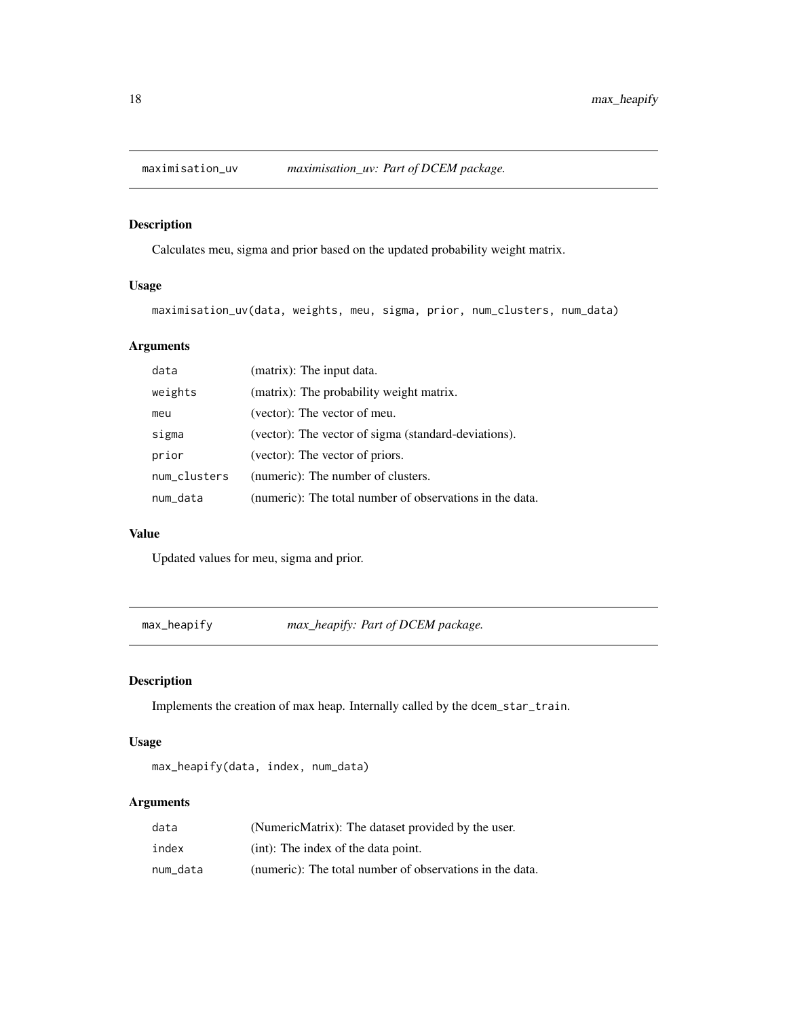<span id="page-17-0"></span>

Calculates meu, sigma and prior based on the updated probability weight matrix.

# Usage

maximisation\_uv(data, weights, meu, sigma, prior, num\_clusters, num\_data)

# Arguments

| data         | (matrix): The input data.                                |
|--------------|----------------------------------------------------------|
| weights      | (matrix): The probability weight matrix.                 |
| meu          | (vector): The vector of meu.                             |
| sigma        | (vector): The vector of sigma (standard-deviations).     |
| prior        | (vector): The vector of priors.                          |
| num_clusters | (numeric): The number of clusters.                       |
| num data     | (numeric): The total number of observations in the data. |

# Value

Updated values for meu, sigma and prior.

max\_heapify *max\_heapify: Part of DCEM package.*

# Description

Implements the creation of max heap. Internally called by the dcem\_star\_train.

# Usage

max\_heapify(data, index, num\_data)

# Arguments

| data     | (NumericMatrix): The dataset provided by the user.       |
|----------|----------------------------------------------------------|
| index    | (int): The index of the data point.                      |
| num data | (numeric): The total number of observations in the data. |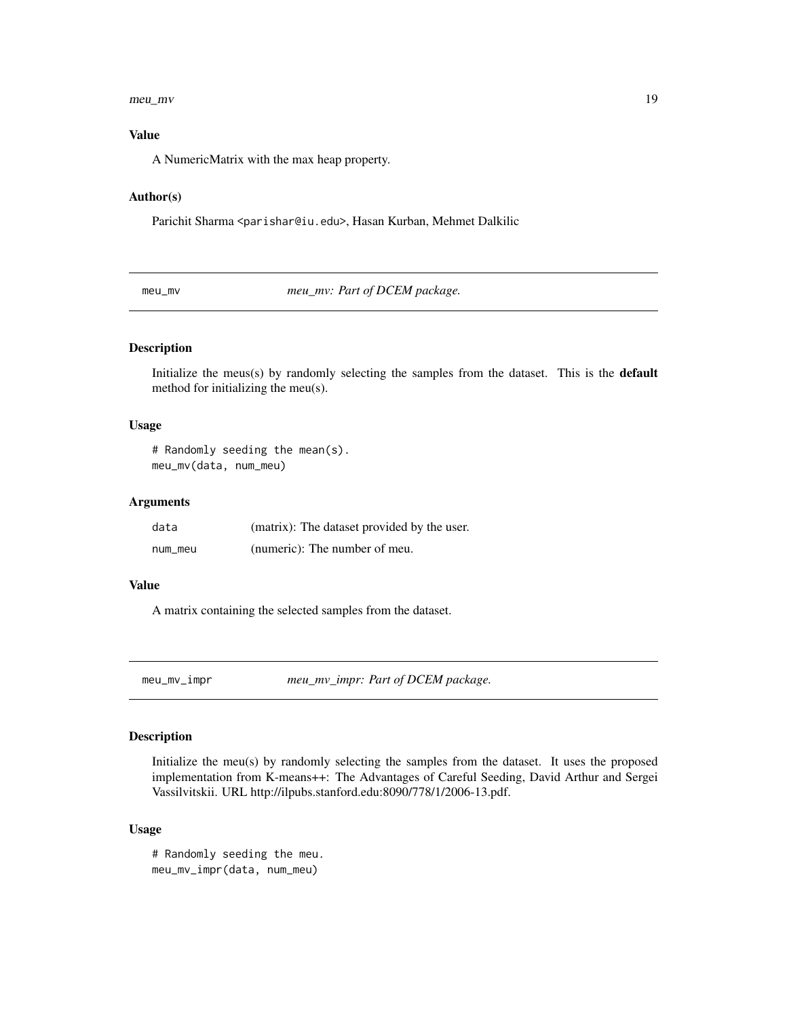#### <span id="page-18-0"></span>meu\_mv 19

# Value

A NumericMatrix with the max heap property.

### Author(s)

Parichit Sharma <parishar@iu.edu>, Hasan Kurban, Mehmet Dalkilic

<span id="page-18-1"></span>meu\_mv: Part of DCEM package.

# Description

Initialize the meus(s) by randomly selecting the samples from the dataset. This is the default method for initializing the meu(s).

# Usage

```
# Randomly seeding the mean(s).
meu_mv(data, num_meu)
```
# Arguments

| data    | (matrix): The dataset provided by the user. |
|---------|---------------------------------------------|
| num_meu | (numeric): The number of meu.               |

### Value

A matrix containing the selected samples from the dataset.

<span id="page-18-2"></span>meu\_mv\_impr *meu\_mv\_impr: Part of DCEM package.*

# Description

Initialize the meu(s) by randomly selecting the samples from the dataset. It uses the proposed implementation from K-means++: The Advantages of Careful Seeding, David Arthur and Sergei Vassilvitskii. URL http://ilpubs.stanford.edu:8090/778/1/2006-13.pdf.

#### Usage

```
# Randomly seeding the meu.
meu_mv_impr(data, num_meu)
```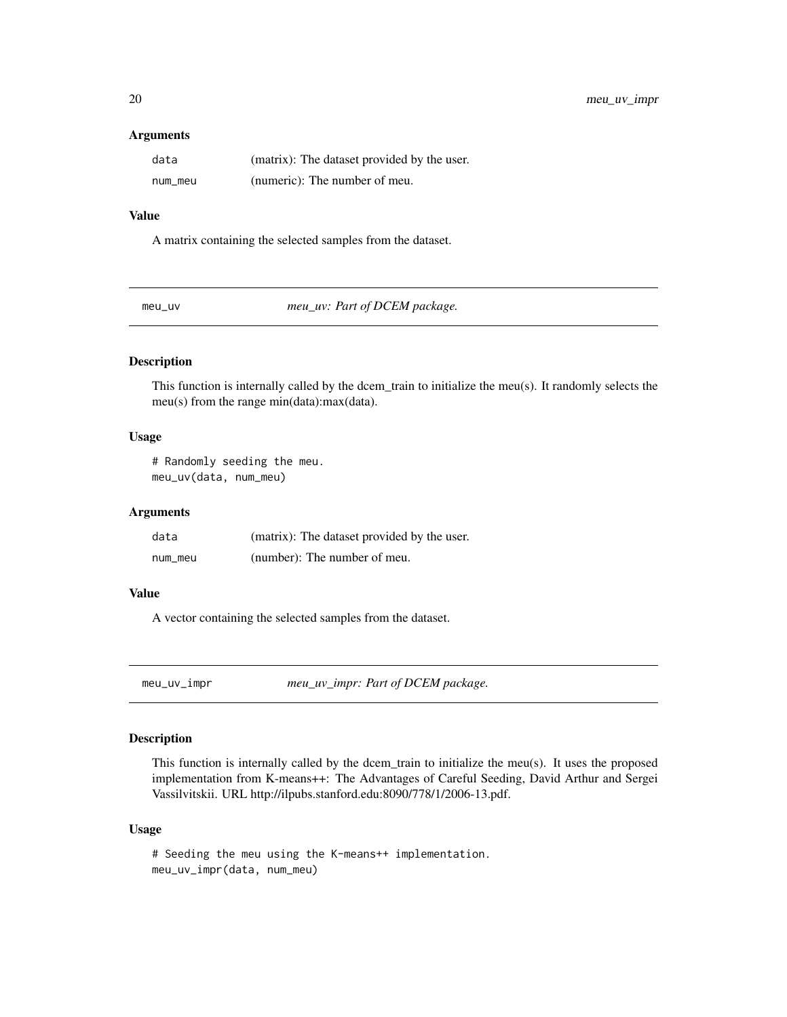#### Arguments

| data    | (matrix): The dataset provided by the user. |
|---------|---------------------------------------------|
| num_meu | (numeric): The number of meu.               |

# Value

A matrix containing the selected samples from the dataset.

<span id="page-19-1"></span>meu\_uv *meu\_uv: Part of DCEM package.*

# Description

This function is internally called by the dcem\_train to initialize the meu(s). It randomly selects the meu(s) from the range min(data):max(data).

#### Usage

```
# Randomly seeding the meu.
meu_uv(data, num_meu)
```
#### Arguments

| data    | (matrix): The dataset provided by the user. |
|---------|---------------------------------------------|
| num_meu | (number): The number of meu.                |

# Value

A vector containing the selected samples from the dataset.

<span id="page-19-2"></span>meu\_uv\_impr *meu\_uv\_impr: Part of DCEM package.*

# Description

This function is internally called by the dcem\_train to initialize the meu(s). It uses the proposed implementation from K-means++: The Advantages of Careful Seeding, David Arthur and Sergei Vassilvitskii. URL http://ilpubs.stanford.edu:8090/778/1/2006-13.pdf.

#### Usage

```
# Seeding the meu using the K-means++ implementation.
meu_uv_impr(data, num_meu)
```
<span id="page-19-0"></span>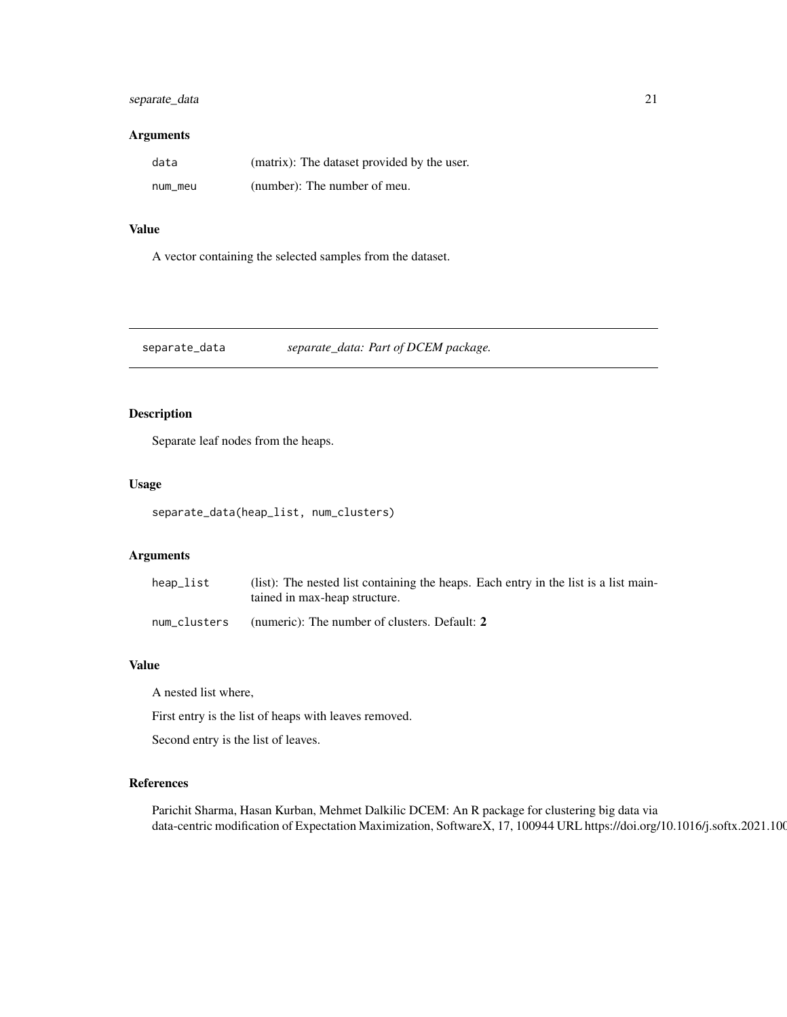# <span id="page-20-0"></span>separate\_data 21

### Arguments

| data    | (matrix): The dataset provided by the user. |
|---------|---------------------------------------------|
| num_meu | (number): The number of meu.                |

# Value

A vector containing the selected samples from the dataset.

separate\_data *separate\_data: Part of DCEM package.*

# Description

Separate leaf nodes from the heaps.

#### Usage

separate\_data(heap\_list, num\_clusters)

# Arguments

| heap_list    | (list): The nested list containing the heaps. Each entry in the list is a list main-<br>tained in max-heap structure. |
|--------------|-----------------------------------------------------------------------------------------------------------------------|
| num_clusters | (numeric): The number of clusters. Default: 2                                                                         |

# Value

A nested list where,

First entry is the list of heaps with leaves removed.

Second entry is the list of leaves.

# References

Parichit Sharma, Hasan Kurban, Mehmet Dalkilic DCEM: An R package for clustering big data via data-centric modification of Expectation Maximization, SoftwareX, 17, 100944 URL https://doi.org/10.1016/j.softx.2021.100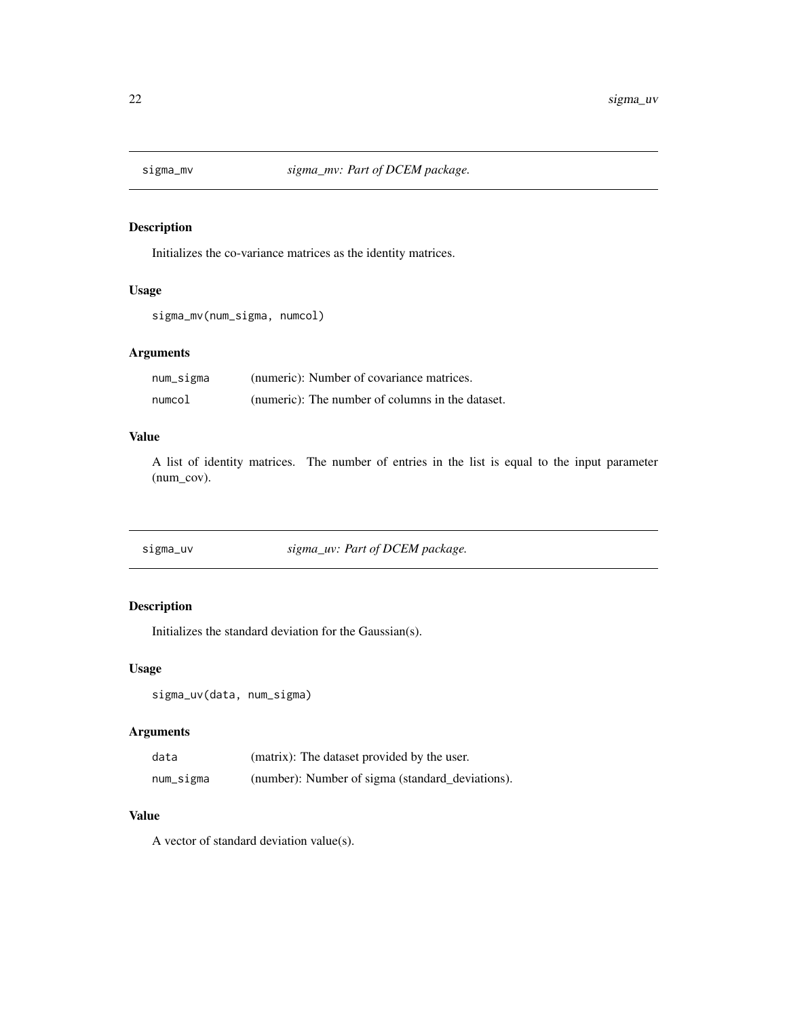<span id="page-21-0"></span>

Initializes the co-variance matrices as the identity matrices.

# Usage

```
sigma_mv(num_sigma, numcol)
```
# Arguments

| num_sigma | (numeric): Number of covariance matrices.        |
|-----------|--------------------------------------------------|
| numcol    | (numeric): The number of columns in the dataset. |

# Value

A list of identity matrices. The number of entries in the list is equal to the input parameter (num\_cov).

sigma\_uv *sigma\_uv: Part of DCEM package.*

# Description

Initializes the standard deviation for the Gaussian(s).

# Usage

```
sigma_uv(data, num_sigma)
```
#### Arguments

| data      | (matrix): The dataset provided by the user.      |
|-----------|--------------------------------------------------|
| num_sigma | (number): Number of sigma (standard_deviations). |

# Value

A vector of standard deviation value(s).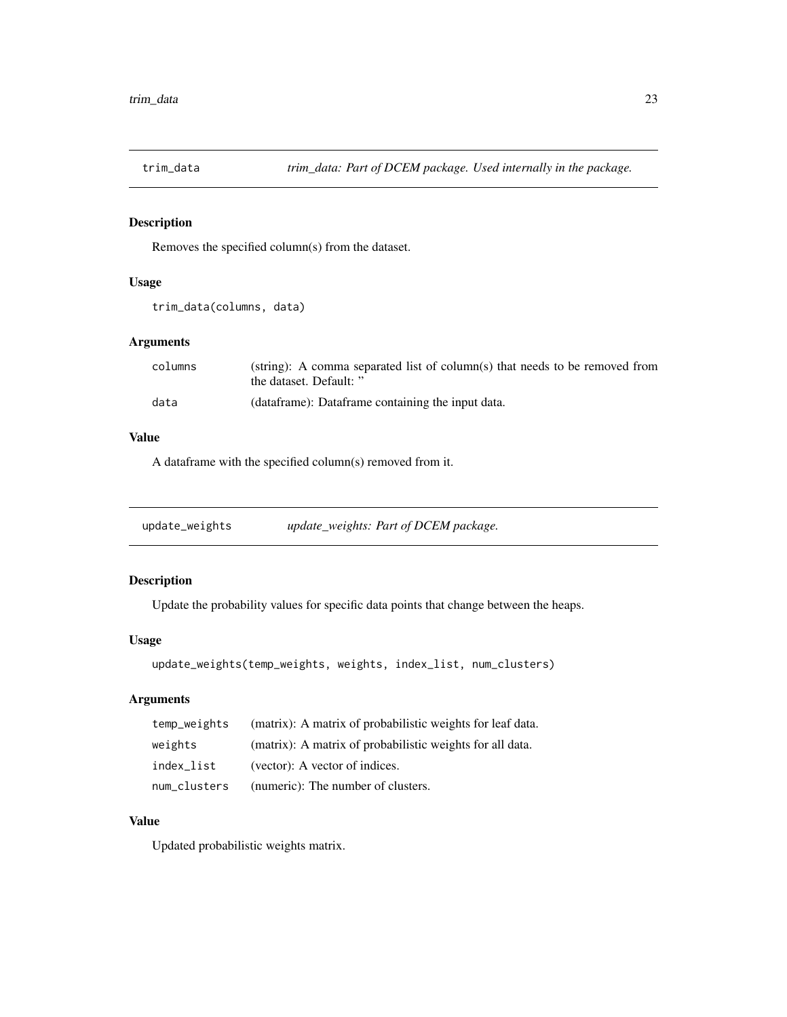<span id="page-22-1"></span><span id="page-22-0"></span>

Removes the specified column(s) from the dataset.

# Usage

```
trim_data(columns, data)
```
# Arguments

| columns | (string): A comma separated list of column(s) that needs to be removed from<br>the dataset. Default: " |
|---------|--------------------------------------------------------------------------------------------------------|
| data    | (dataframe): Dataframe containing the input data.                                                      |

# Value

A dataframe with the specified column(s) removed from it.

update\_weights *update\_weights: Part of DCEM package.*

# Description

Update the probability values for specific data points that change between the heaps.

#### Usage

```
update_weights(temp_weights, weights, index_list, num_clusters)
```
# Arguments

| temp_weights | (matrix): A matrix of probabilistic weights for leaf data. |
|--------------|------------------------------------------------------------|
| weights      | (matrix): A matrix of probabilistic weights for all data.  |
| index_list   | (vector): A vector of indices.                             |
| num_clusters | (numeric): The number of clusters.                         |

# Value

Updated probabilistic weights matrix.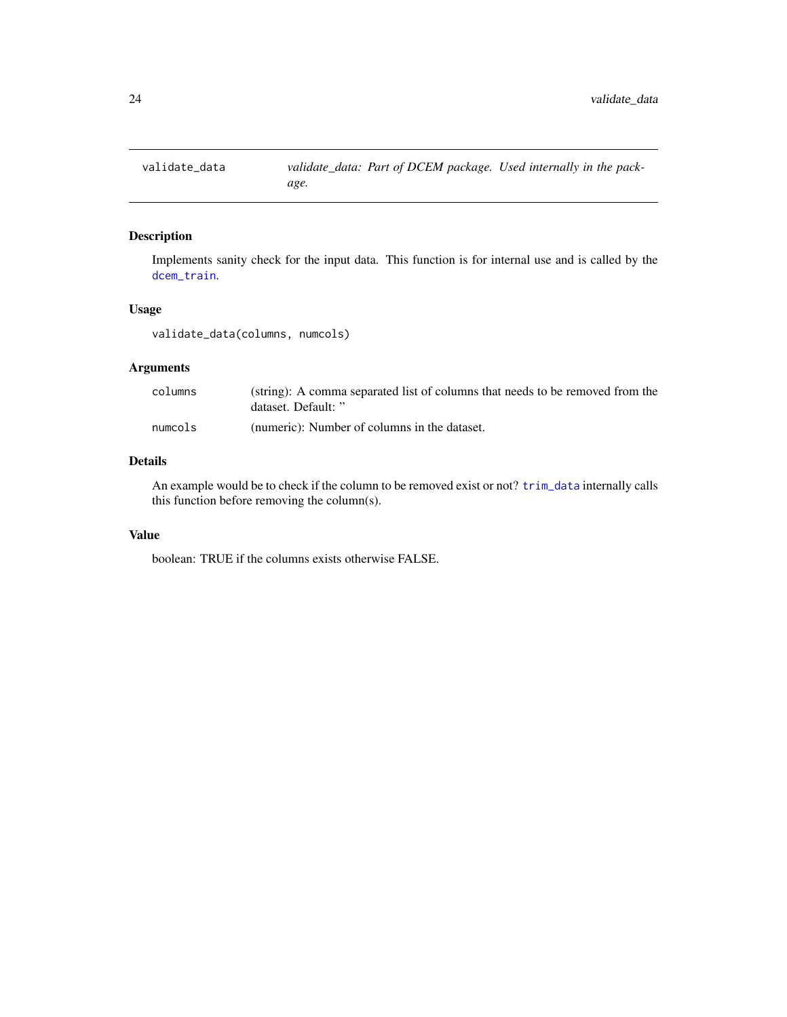<span id="page-23-0"></span>

Implements sanity check for the input data. This function is for internal use and is called by the [dcem\\_train](#page-11-1).

# Usage

validate\_data(columns, numcols)

# Arguments

| columns | (string): A comma separated list of columns that needs to be removed from the<br>dataset. Default: " |
|---------|------------------------------------------------------------------------------------------------------|
| numcols | (numeric): Number of columns in the dataset.                                                         |

# Details

An example would be to check if the column to be removed exist or not? [trim\\_data](#page-22-1) internally calls this function before removing the column(s).

# Value

boolean: TRUE if the columns exists otherwise FALSE.